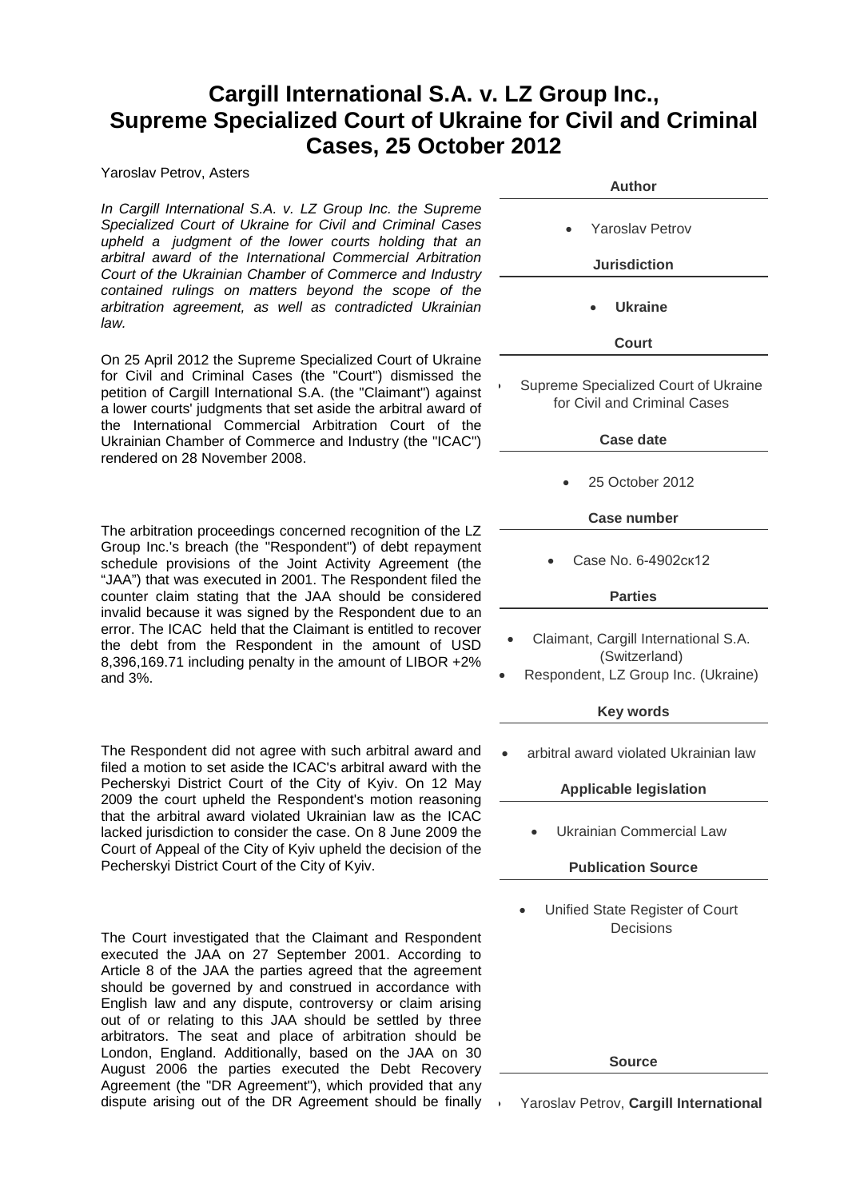## **Cargill International S.A. v. LZ Group Inc., Supreme Specialized Court of Ukraine for Civil and Criminal Cases, 25 October 2012**

Yaroslav Petrov, Asters

*In Cargill International S.A. v. LZ Group Inc. the Supreme Specialized Court of Ukraine for Civil and Criminal Cases upheld a judgment of the lower courts holding that an arbitral award of the International Commercial Arbitration Court of the Ukrainian Chamber of Commerce and Industry contained rulings on matters beyond the scope of the arbitration agreement, as well as contradicted Ukrainian law.*

On 25 April 2012 the Supreme Specialized Court of Ukraine for Civil and Criminal Cases (the "Court") dismissed the petition of Cargill International S.A. (the "Claimant") against a lower courts' judgments that set aside the arbitral award of the International Commercial Arbitration Court of the Ukrainian Chamber of Commerce and Industry (the "ICAC") rendered on 28 November 2008.

The arbitration proceedings concerned recognition of the LZ Group Inc.'s breach (the "Respondent") of debt repayment schedule provisions of the Joint Activity Agreement (the "JAA") that was executed in 2001. The Respondent filed the counter claim stating that the JAA should be considered invalid because it was signed by the Respondent due to an error. The ICAC held that the Claimant is entitled to recover the debt from the Respondent in the amount of USD 8,396,169.71 including penalty in the amount of LIBOR +2% and 3%.

The Respondent did not agree with such arbitral award and filed a motion to set aside the ICAC's arbitral award with the Pecherskyi District Court of the City of Kyiv. On 12 May 2009 the court upheld the Respondent's motion reasoning that the arbitral award violated Ukrainian law as the ICAC lacked jurisdiction to consider the case. On 8 June 2009 the Court of Appeal of the City of Kyiv upheld the decision of the Pecherskyi District Court of the City of Kyiv.

The Court investigated that the Claimant and Respondent executed the JAA on 27 September 2001. According to Article 8 of the JAA the parties agreed that the agreement should be governed by and construed in accordance with English law and any dispute, controversy or claim arising out of or relating to this JAA should be settled by three arbitrators. The seat and place of arbitration should be London, England. Additionally, based on the JAA on 30 August 2006 the parties executed the Debt Recovery Agreement (the "DR Agreement"), which provided that any dispute arising out of the DR Agreement should be finally

| I ZUIZ                                                                                       |
|----------------------------------------------------------------------------------------------|
| Author                                                                                       |
| <b>Yaroslav Petrov</b>                                                                       |
| <b>Jurisdiction</b>                                                                          |
| <b>Ukraine</b>                                                                               |
| Court                                                                                        |
| Supreme Specialized Court of Ukraine<br>for Civil and Criminal Cases                         |
| <b>Case date</b>                                                                             |
| 25 October 2012                                                                              |
| Case number                                                                                  |
| Case No. 6-4902ск12                                                                          |
| <b>Parties</b>                                                                               |
| Claimant, Cargill International S.A.<br>(Switzerland)<br>Respondent, LZ Group Inc. (Ukraine) |
| <b>Key words</b>                                                                             |
| arbitral award violated Ukrainian law                                                        |
| <b>Applicable legislation</b>                                                                |
| <b>Ukrainian Commercial Law</b>                                                              |
| <b>Publication Source</b>                                                                    |
| Unified State Register of Court<br>Decisions                                                 |
|                                                                                              |
|                                                                                              |
|                                                                                              |
| <b>Source</b>                                                                                |
|                                                                                              |
| Yaroslav Petrov, Cargill International                                                       |